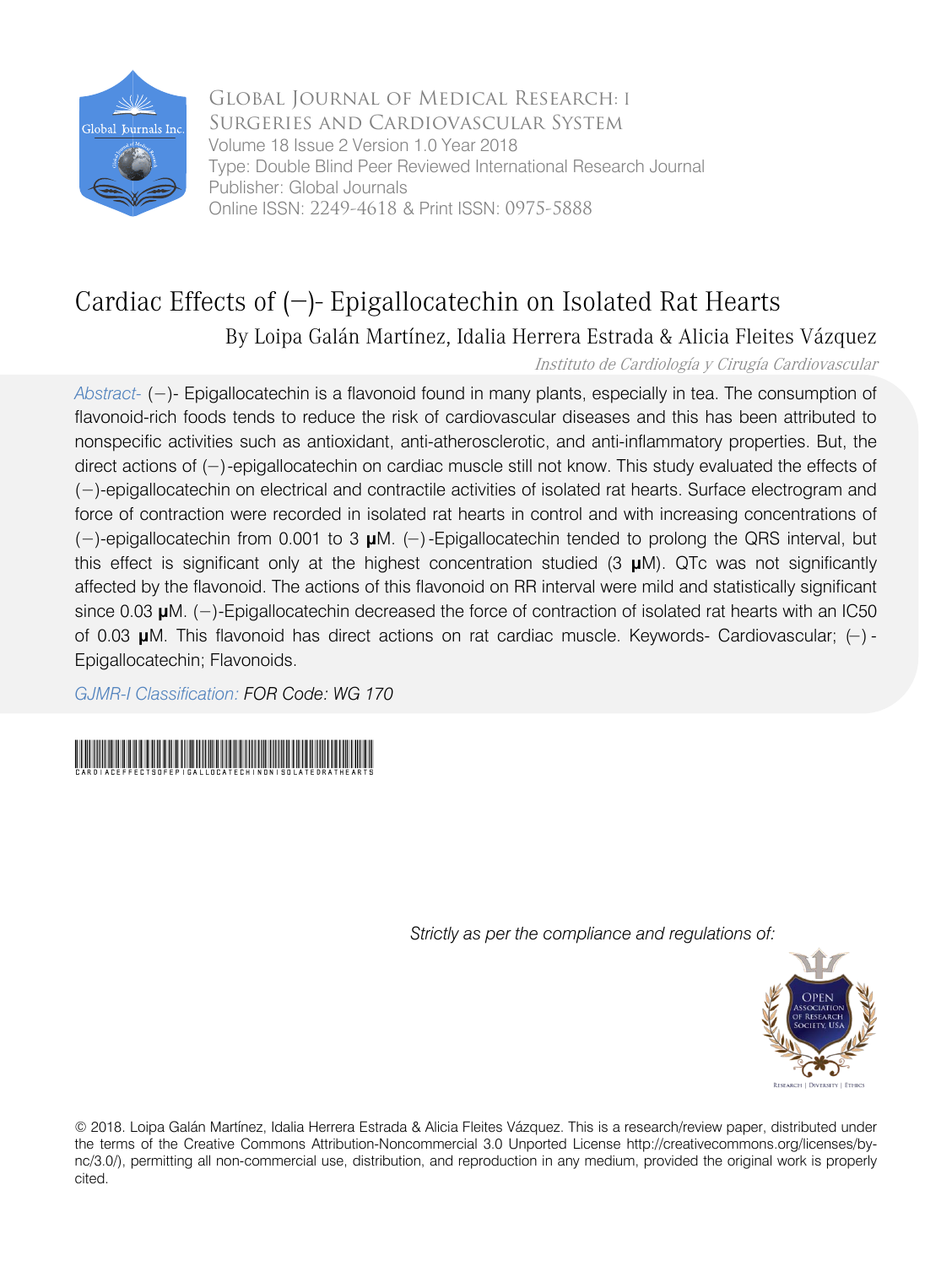

Global Journal of Medical Research: I Surgeries and Cardiovascular System Volume 18 Issue 2 Version 1.0 Year 2018 Type: Double Blind Peer Reviewed International Research Journal Publisher: Global Journals Online ISSN: 2249-4618 & Print ISSN: 0975-5888

## Cardiac Effects of (−)- Epigallocatechin on Isolated Rat Hearts

### By Loipa Galán Martínez, Idalia Herrera Estrada & Alicia Fleites Vázquez

Instituto de Cardiología y Cirugía Cardiovascular

 *Abstract-*(−)- Epigallocatechin is a flavonoid found in many plants, especially in tea. The consumption of flavonoid-rich foods tends to reduce the risk of cardiovascular diseases and this has been attributed to nonspecific activities such as antioxidant, anti-atherosclerotic, and anti-inflammatory properties. But, the direct actions of (−)-epigallocatechin on cardiac muscle still not know. This study evaluated the effects of (−)-epigallocatechin on electrical and contractile activities of isolated rat hearts. Surface electrogram and force of contraction were recorded in isolated rat hearts in control and with increasing concentrations of (−)-epigallocatechin from 0.001 to 3 **μ**M. (−)-Epigallocatechin tended to prolong the QRS interval, but this effect is significant only at the highest concentration studied (3 **μ**M). QTc was not significantly affected by the flavonoid. The actions of this flavonoid on RR interval were mild and statistically significant since 0.03 **µ**M. (−)-Epigallocatechin decreased the force of contraction of isolated rat hearts with an IC50 of 0.03 **μ**M. This flavonoid has direct actions on rat cardiac muscle. Keywords- Cardiovascular; (−) - Epigallocatechin; Flavonoids.

*GJMR-I Classification: FOR Code: WG 170*



 *Strictly as per the compliance and regulations of:*



© 2018. Loipa Galán Martínez, Idalia Herrera Estrada & Alicia Fleites Vázquez. This is a research/review paper, distributed under the terms of the Creative Commons Attribution-Noncommercial 3.0 Unported License http://creativecommons.org/licenses/bync/3.0/), permitting all non-commercial use, distribution, and reproduction in any medium, provided the original work is properly cited.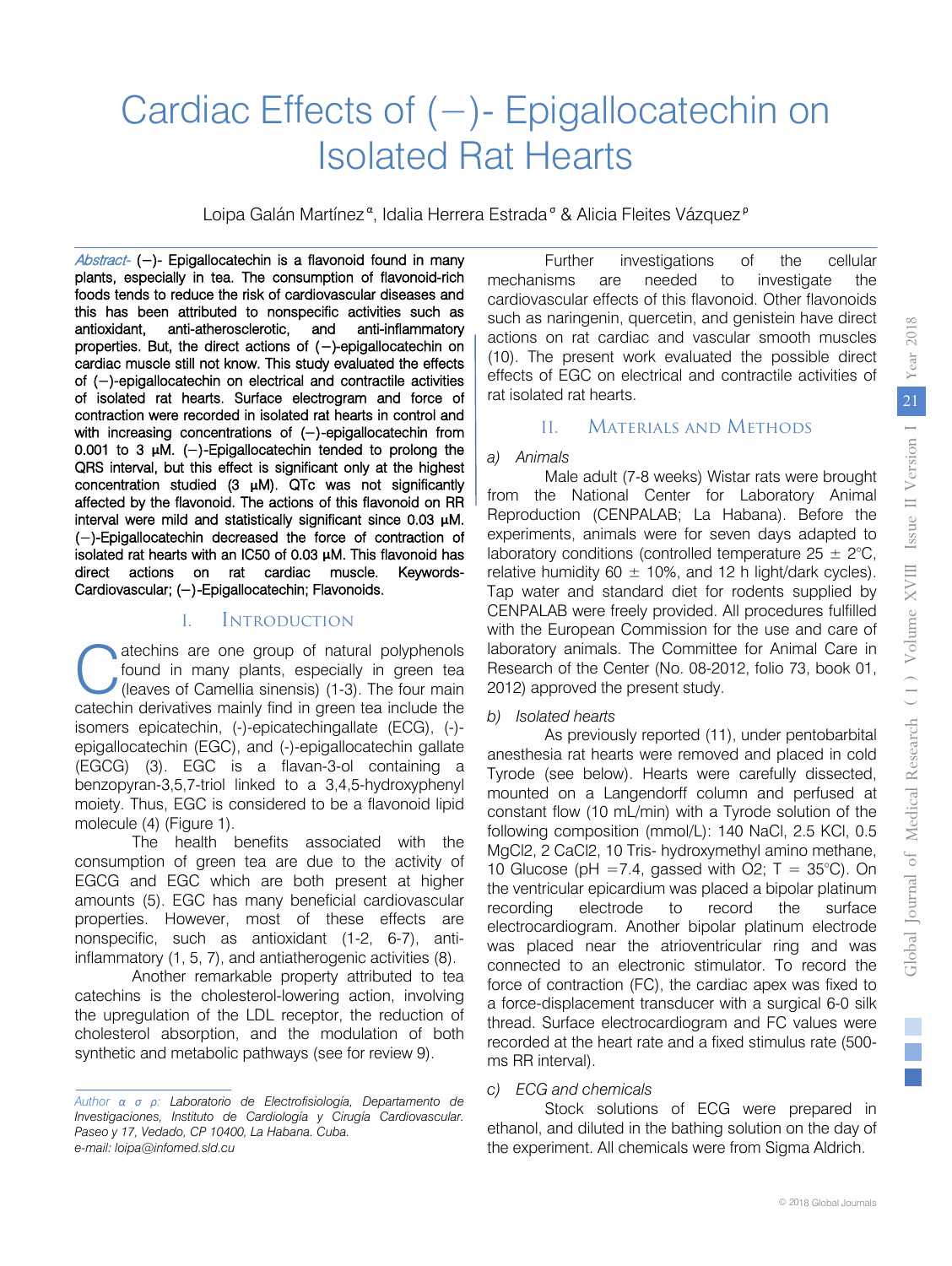# Cardiac Effects of (−)- Epigallocatechin on Isolated Rat Hearts

Loipa Galán Martínez<sup>a</sup>, Idalia Herrera Estrada<sup>o</sup> & Alicia Fleites Vázquez<sup>e</sup>

Abstract- (-)- Epigallocatechin is a flavonoid found in many plants, especially in tea. The consumption of flavonoid-rich foods tends to reduce the risk of cardiovascular diseases and this has been attributed to nonspecific activities such as antioxidant, anti-atherosclerotic, and anti-inflammatory properties. But, the direct actions of (−)-epigallocatechin on cardiac muscle still not know. This study evaluated the effects of (−)-epigallocatechin on electrical and contractile activities of isolated rat hearts. Surface electrogram and force of contraction were recorded in isolated rat hearts in control and with increasing concentrations of (-)-epigallocatechin from 0.001 to 3 **μ**M. (−)-Epigallocatechin tended to prolong the QRS interval, but this effect is significant only at the highest concentration studied (3 **μ**M). QTc was not significantly affected by the flavonoid. The actions of this flavonoid on RR interval were mild and statistically significant since 0.03 **μ**M. (−)-Epigallocatechin decreased the force of contraction of isolated rat hearts with an IC50 of 0.03 **μ**M. This flavonoid has direct actions on rat cardiac muscle. Keywords-Cardiovascular; (−)-Epigallocatechin; Flavonoids.

#### I. Introduction

dechins are one group of natural polyphenols<br>found in many plants, especially in green tea<br>(leaves of Camellia sinensis) (1-3). The four main found in many plants, especially in green tea (leaves of Camellia sinensis) (1-3). The four main catechin derivatives mainly find in green tea include the isomers epicatechin, (-)-epicatechingallate (ECG), (-) epigallocatechin (EGC), and (-)-epigallocatechin gallate (EGCG) (3). EGC is a flavan-3-ol containing a benzopyran-3,5,7-triol linked to a 3,4,5-hydroxyphenyl moiety. Thus, EGC is considered to be a flavonoid lipid molecule (4) (Figure 1).

The health benefits associated with the consumption of green tea are due to the activity of EGCG and EGC which are both present at higher amounts (5). EGC has many beneficial cardiovascular properties. However, most of these effects are nonspecific, such as antioxidant (1-2, 6-7), antiinflammatory (1, 5, 7), and antiatherogenic activities (8).

Another remarkable property attributed to tea catechins is the cholesterol-lowering action, involving the upregulation of the LDL receptor, the reduction of cholesterol absorption, and the modulation of both synthetic and metabolic pathways (see for review 9).

Further investigations of the cellular mechanisms are needed to investigate the cardiovascular effects of this flavonoid. Other flavonoids such as naringenin, quercetin, and genistein have direct actions on rat cardiac and vascular smooth muscles (10). The present work evaluated the possible direct effects of EGC on electrical and contractile activities of rat isolated rat hearts.

#### II. Materials and Methods

#### *a) Animals*

Male adult (7-8 weeks) Wistar rats were brought from the National Center for Laboratory Animal Reproduction (CENPALAB; La Habana). Before the experiments, animals were for seven days adapted to laboratory conditions (controlled temperature  $25 \pm 2$ °C, relative humidity 60  $\pm$  10%, and 12 h light/dark cycles). Tap water and standard diet for rodents supplied by CENPALAB were freely provided. All procedures fulfilled with the European Commission for the use and care of laboratory animals. The Committee for Animal Care in Research of the Center (No. 08-2012, folio 73, book 01, 2012) approved the present study.

#### *b) Isolated hearts*

As previously reported (11), under pentobarbital anesthesia rat hearts were removed and placed in cold Tyrode (see below). Hearts were carefully dissected, mounted on a Langendorff column and perfused at constant flow (10 mL/min) with a Tyrode solution of the following composition (mmol/L): 140 NaCl, 2.5 KCl, 0.5 MgCl2, 2 CaCl2, 10 Tris- hydroxymethyl amino methane, 10 Glucose (pH =7.4, gassed with O2;  $T = 35^{\circ}$ C). On the ventricular epicardium was placed a bipolar platinum recording electrode to record the surface electrocardiogram. Another bipolar platinum electrode was placed near the atrioventricular ring and was connected to an electronic stimulator. To record the force of contraction (FC), the cardiac apex was fixed to a force-displacement transducer with a surgical 6-0 silk thread. Surface electrocardiogram and FC values were recorded at the heart rate and a fixed stimulus rate (500 ms RR interval).

#### *c) ECG and chemicals*

Stock solutions of ECG were prepared in ethanol, and diluted in the bathing solution on the day of the experiment. All chemicals were from Sigma Aldrich.

*Author α σ ρ: Laboratorio de Electrofisiología, Departamento de Investigaciones, Instituto de Cardiología y Cirugía Cardiovascular. Paseo y 17, Vedado, CP 10400, La Habana. Cuba. e-mail: loipa@infomed.sld.cu*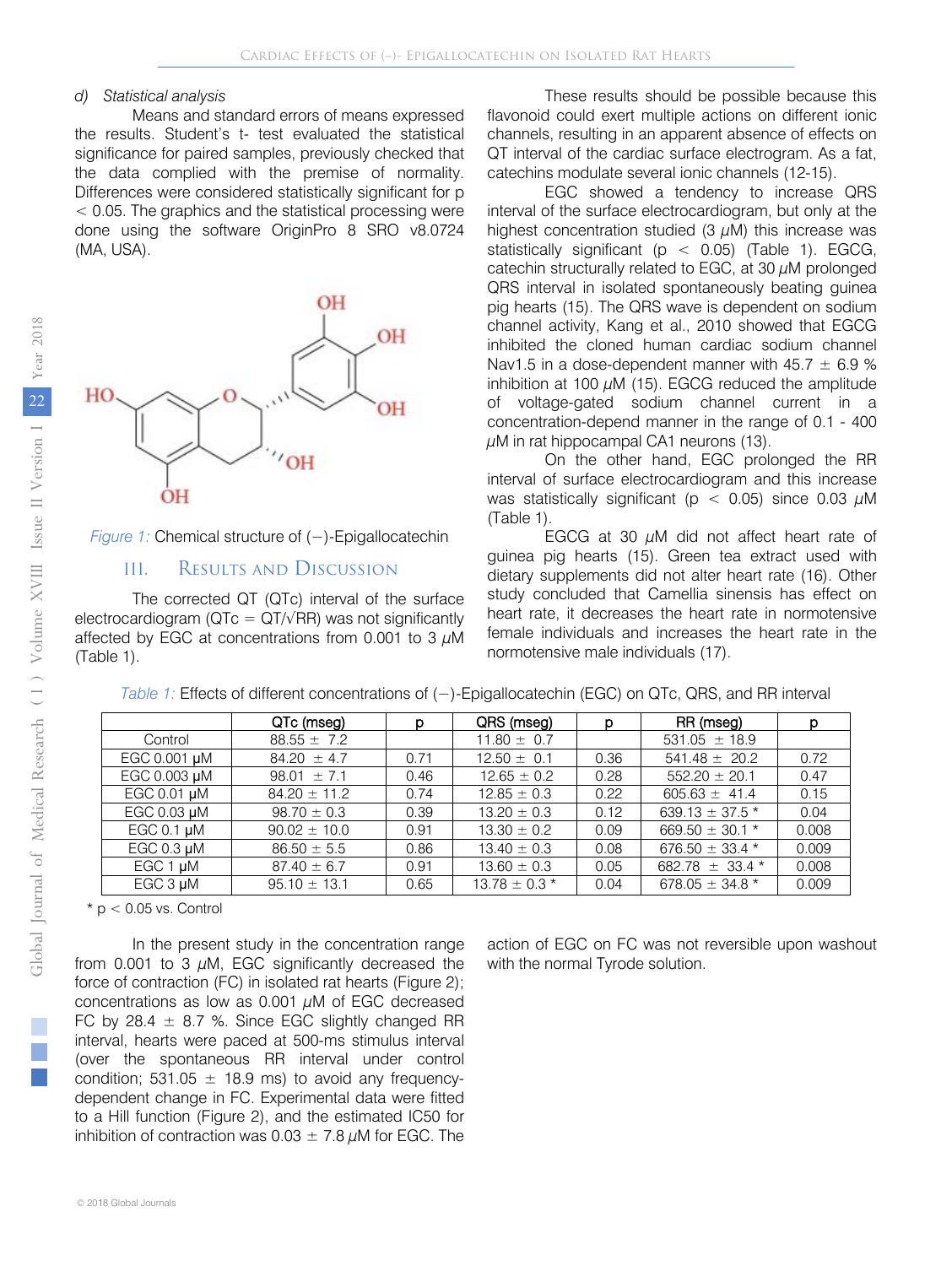#### *d) Statistical analysis*

Means and standard errors of means expressed the results. Student's t- test evaluated the statistical significance for paired samples, previously checked that the data complied with the premise of normality. Differences were considered statistically significant for p < 0.05. The graphics and the statistical processing were done using the software OriginPro 8 SRO v8.0724 (MA, USA).



*Figure 1:* Chemical structure of (−)-Epigallocatechin

#### III. Results and Discussion

The corrected QT (QTc) interval of the surface electrocardiogram ( $QTc = QT/\sqrt{RR}$ ) was not significantly affected by EGC at concentrations from 0.001 to 3  $\mu$ M (Table 1).

These results should be possible because this flavonoid could exert multiple actions on different ionic channels, resulting in an apparent absence of effects on QT interval of the cardiac surface electrogram. As a fat, catechins modulate several ionic channels (12-15).

EGC showed a tendency to increase QRS interval of the surface electrocardiogram, but only at the highest concentration studied  $(3 \mu M)$  this increase was statistically significant ( $p < 0.05$ ) (Table 1). EGCG, catechin structurally related to EGC, at 30  $\mu$ M prolonged QRS interval in isolated spontaneously beating guinea pig hearts (15). The QRS wave is dependent on sodium channel activity, Kang et al., 2010 showed that EGCG inhibited the cloned human cardiac sodium channel Nav1.5 in a dose-dependent manner with  $45.7 \pm 6.9$  % inhibition at 100  $\mu$ M (15). EGCG reduced the amplitude of voltage-gated sodium channel current in a concentration-depend manner in the range of 0.1 - 400  $\mu$ M in rat hippocampal CA1 neurons (13).

On the other hand, EGC prolonged the RR interval of surface electrocardiogram and this increase was statistically significant ( $p < 0.05$ ) since 0.03  $\mu$ M (Table 1).

EGCG at 30  $\mu$ M did not affect heart rate of guinea pig hearts (15). Green tea extract used with dietary supplements did not alter heart rate (16). Other study concluded that Camellia sinensis has effect on heart rate, it decreases the heart rate in normotensive female individuals and increases the heart rate in the normotensive male individuals (17).

|                 | QTc (mseg)       | D    | QRS (mseg)        | D    | RR (mseg)             | D     |
|-----------------|------------------|------|-------------------|------|-----------------------|-------|
| Control         | $88.55 \pm 7.2$  |      | $11.80 \pm 0.7$   |      | $531.05 \pm 18.9$     |       |
| EGC 0.001 µM    | 84.20 $\pm$ 4.7  | 0.71 | $12.50 \pm 0.1$   | 0.36 | $541.48 \pm 20.2$     | 0.72  |
| EGC 0.003 µM    | 98.01 $\pm$ 7.1  | 0.46 | $12.65 \pm 0.2$   | 0.28 | $552.20 \pm 20.1$     | 0.47  |
| EGC 0.01 µM     | $84.20 \pm 11.2$ | 0.74 | $12.85 \pm 0.3$   | 0.22 | $605.63 \pm 41.4$     | 0.15  |
| EGC 0.03 µM     | $98.70 \pm 0.3$  | 0.39 | $13.20 \pm 0.3$   | 0.12 | 639.13 $\pm$ 37.5 $*$ | 0.04  |
| EGC 0.1 $\mu$ M | $90.02 \pm 10.0$ | 0.91 | $13.30 \pm 0.2$   | 0.09 | 669.50 $\pm$ 30.1 $*$ | 0.008 |
| EGC 0.3 $\mu$ M | $86.50 \pm 5.5$  | 0.86 | $13.40 \pm 0.3$   | 0.08 | 676.50 $\pm$ 33.4 $*$ | 0.009 |
| EGC 1 uM        | $87.40 \pm 6.7$  | 0.91 | $13.60 \pm 0.3$   | 0.05 | 682.78 $\pm$ 33.4 $*$ | 0.008 |
| EGC 3 µM        | $95.10 \pm 13.1$ | 0.65 | $13.78 \pm 0.3$ * | 0.04 | 678.05 $\pm$ 34.8 $*$ | 0.009 |

*Table 1:* Effects of different concentrations of (−)-Epigallocatechin (EGC) on QTc, QRS, and RR interval

 $*$  p  $<$  0.05 vs. Control

In the present study in the concentration range from 0.001 to 3  $\mu$ M, EGC significantly decreased the force of contraction (FC) in isolated rat hearts (Figure 2); concentrations as low as  $0.001 \mu M$  of EGC decreased FC by 28.4  $\pm$  8.7 %. Since EGC slightly changed RR interval, hearts were paced at 500-ms stimulus interval (over the spontaneous RR interval under control condition; 531.05  $\pm$  18.9 ms) to avoid any frequencydependent change in FC. Experimental data were fitted to a Hill function (Figure 2), and the estimated IC50 for inhibition of contraction was  $0.03 \pm 7.8 \,\mu\text{M}$  for EGC. The

action of EGC on FC was not reversible upon washout with the normal Tyrode solution.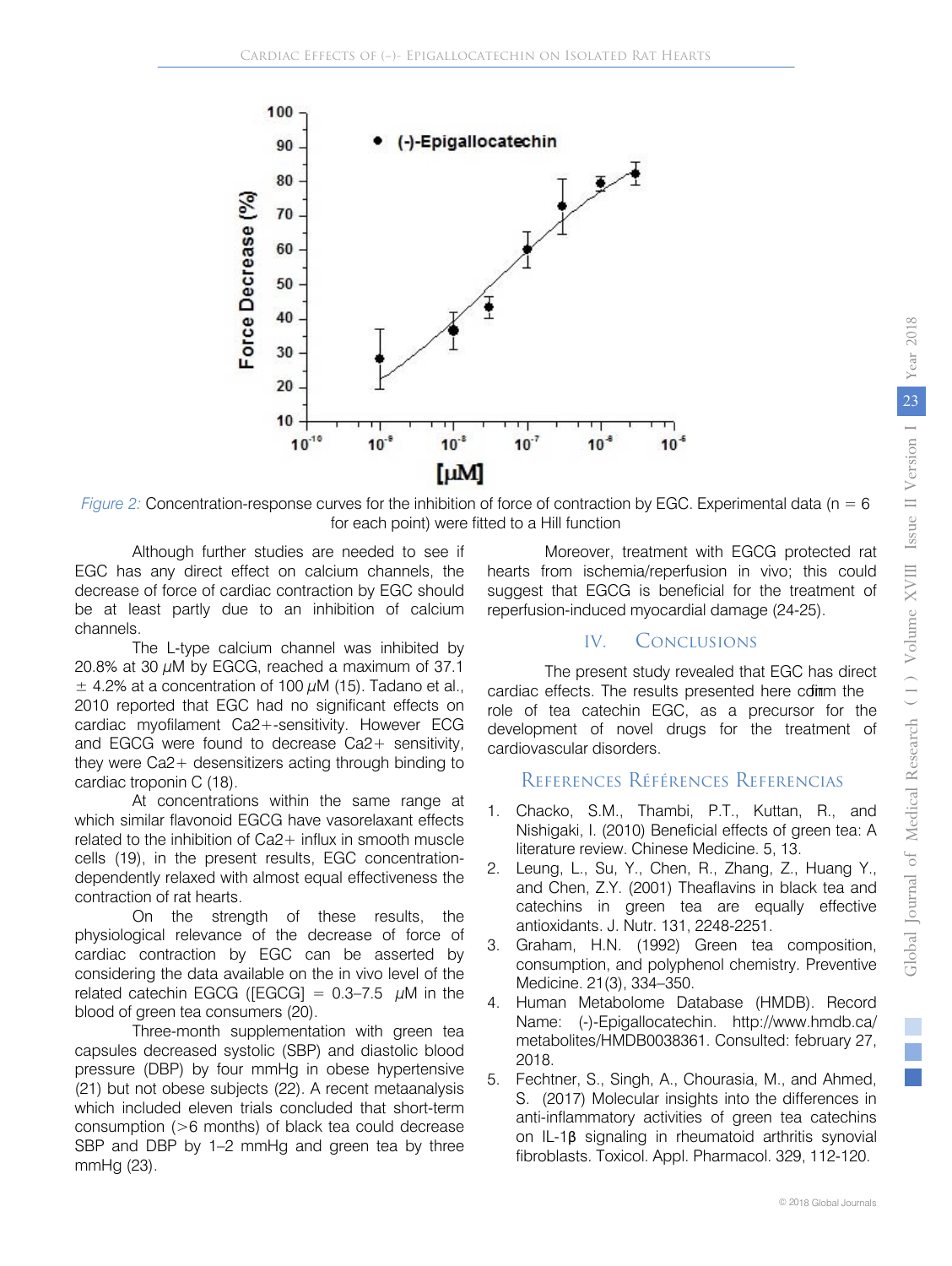

*Figure 2:* Concentration-response curves for the inhibition of force of contraction by EGC. Experimental data (n = 6 for each point) were fitted to a Hill function

Although further studies are needed to see if EGC has any direct effect on calcium channels, the decrease of force of cardiac contraction by EGC should be at least partly due to an inhibition of calcium channels.

The L-type calcium channel was inhibited by 20.8% at 30  $\mu$ M by EGCG, reached a maximum of 37.1  $\pm$  4.2% at a concentration of 100  $\mu$ M (15). Tadano et al., 2010 reported that EGC had no significant effects on cardiac myofilament Ca2+-sensitivity. However ECG and EGCG were found to decrease Ca2+ sensitivity, they were Ca2+ desensitizers acting through binding to cardiac troponin C (18).

At concentrations within the same range at which similar flavonoid EGCG have vasorelaxant effects related to the inhibition of Ca2+ influx in smooth muscle cells (19), in the present results, EGC concentrationdependently relaxed with almost equal effectiveness the contraction of rat hearts.

On the strength of these results, the physiological relevance of the decrease of force of cardiac contraction by EGC can be asserted by considering the data available on the in vivo level of the related catechin EGCG ([EGCG] =  $0.3-7.5$   $\mu$ M in the blood of green tea consumers (20).

Three-month supplementation with green tea capsules decreased systolic (SBP) and diastolic blood pressure (DBP) by four mmHg in obese hypertensive (21) but not obese subjects (22). A recent metaanalysis which included eleven trials concluded that short-term consumption (>6 months) of black tea could decrease SBP and DBP by 1–2 mmHg and green tea by three mmHg (23).

Moreover, treatment with EGCG protected rat hearts from ischemia/reperfusion in vivo; this could suggest that EGCG is beneficial for the treatment of reperfusion-induced myocardial damage (24-25).

#### IV. Conclusions

The present study revealed that EGC has direct cardiac effects. The results presented here comm the role of tea catechin EGC, as a precursor for the development of novel drugs for the treatment of cardiovascular disorders.

#### References Références Referencias

- 1. Chacko, S.M., Thambi, P.T., Kuttan, R., and Nishigaki, I. (2010) Beneficial effects of green tea: A literature review. Chinese Medicine. 5, 13.
- 2. Leung, L., Su, Y., Chen, R., Zhang, Z., Huang Y., and Chen, Z.Y. (2001) Theaflavins in black tea and catechins in green tea are equally effective antioxidants. J. Nutr. 131, 2248-2251.
- 3. Graham, H.N. (1992) Green tea composition, consumption, and polyphenol chemistry. Preventive Medicine. 21(3), 334–350.
- 4. Human Metabolome Database (HMDB). Record Name: (-)-Epigallocatechin. http://www.hmdb.ca/ metabolites/HMDB0038361. Consulted: february 27, 2018.
- 5. Fechtner, S., Singh, A., Chourasia, M., and Ahmed, S. (2017) Molecular insights into the differences in anti-inflammatory activities of green tea catechins on IL-1β signaling in rheumatoid arthritis synovial fibroblasts. Toxicol. Appl. Pharmacol. 329, 112-120.